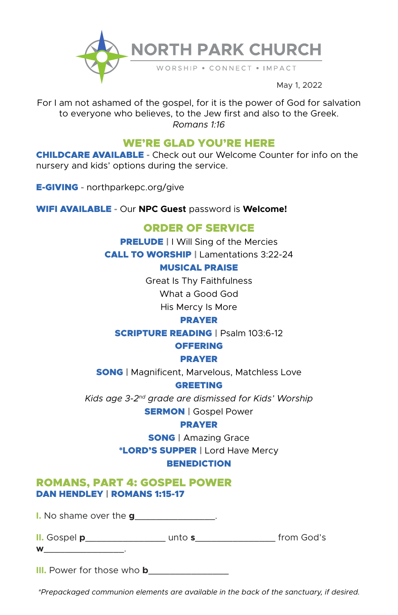

For I am not ashamed of the gospel, for it is the power of God for salvation to everyone who believes, to the Jew first and also to the Greek. *Romans 1:16*

# WE'RE GLAD YOU'RE HERE

CHILDCARE AVAILABLE **-** Check out our Welcome Counter for info on the nursery and kids' options during the service.

E-GIVING **-** northparkepc.org/give

WIFI AVAILABLE **-** Our **NPC Guest** password is **Welcome!**

# ORDER OF SERVICE

**PRELUDE | I Will Sing of the Mercies** CALL TO WORSHIP | Lamentations 3:22-24

### MUSICAL PRAISE

Great Is Thy Faithfulness What a Good God His Mercy Is More

### PRAYER

SCRIPTURE READING | Psalm 103:6-12

### **OFFERING**

PRAYER

**SONG** | Magnificent, Marvelous, Matchless Love

GREETING

*Kids age 3-2nd grade are dismissed for Kids' Worship* **SERMON | Gospel Power** 

### PRAYER

**SONG** | Amazing Grace \*LORD'S SUPPER | Lord Have Mercy **BENEDICTION** 

## ROMANS, PART 4: GOSPEL POWER DAN HENDLEY | ROMANS 1:15-17

**I.** No shame over the **g**\_\_\_\_\_\_\_\_\_\_\_\_\_\_\_.

| II. Gospel p | unto <b>s</b> |  | from God's |
|--------------|---------------|--|------------|
|--------------|---------------|--|------------|

| M |  |       |  |       |  |  |
|---|--|-------|--|-------|--|--|
|   |  | _____ |  | _____ |  |  |
|   |  |       |  |       |  |  |

**III.** Power for those who **b\_\_\_\_\_\_\_\_\_\_\_\_** 

*\*Prepackaged communion elements are available in the back of the sanctuary, if desired.*